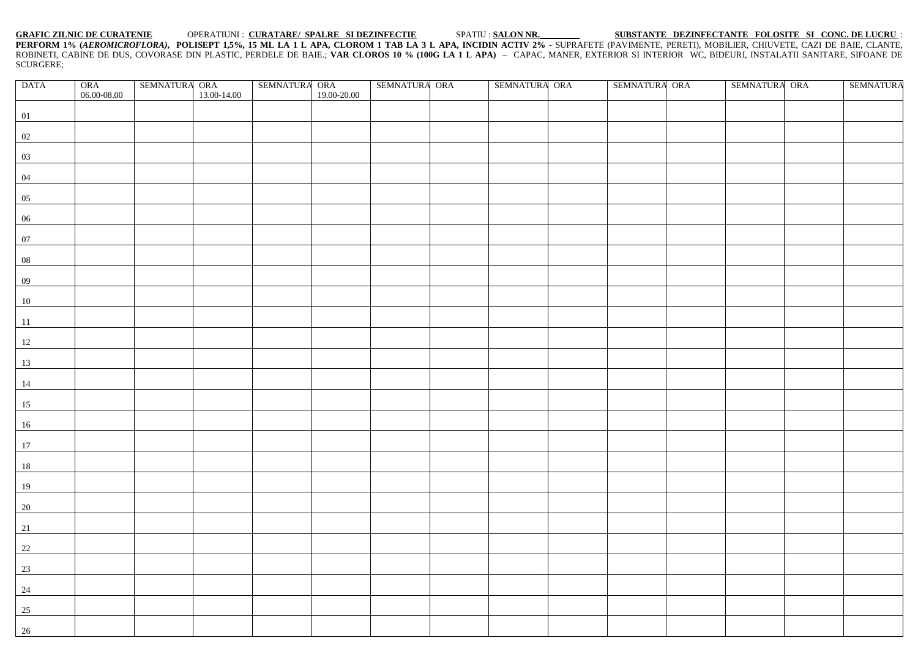**GRAFIC ZILNIC DE CURATENIE** OPERATIUNI : **CURATARE/ SPALRE SI DEZINFECTIE** SPATIU : **SALON NR.\_\_\_\_\_\_\_\_\_ SUBSTANTE DEZINFECTANTE FOLOSITE SI CONC. DE LUCRU** : **PERFORM 1% (***AEROMICROFLORA)***, POLISEPT 1,5%, 15 ML LA 1 L APA, CLOROM 1 TAB LA 3 L APA, INCIDIN ACTIV 2%** - SUPRAFETE (PAVIMENTE, PERETI), MOBILIER, CHIUVETE, CAZI DE BAIE, CLANTE, ROBINETI, CABINE DE DUS, COVORASE DIN PLASTIC, PERDELE DE BAIE.; VAR CLOROS 10 % (100G LA 1 L APA) – CAPAC, MANER, EXTERIOR SI INTERIOR WC, BIDEURI, INSTALATII SANITARE, SIFOANE DE SCURGERE;

| <b>DATA</b> | ORA             | $\begin{array}{ll} \text{SEMNATURA} & \text{ORA} \\ & 13.00\text{-}14.00 \end{array}$ | $\begin{array}{ll} \text{SEMNATURA} & \text{ORA} \\ \text{19.00-20.00} \end{array}$ | SEMNATURA ORA | SEMNATURA ORA | SEMNATURA ORA | SEMNATURA ORA | <b>SEMNATURA</b> |
|-------------|-----------------|---------------------------------------------------------------------------------------|-------------------------------------------------------------------------------------|---------------|---------------|---------------|---------------|------------------|
|             | $06.00 - 08.00$ |                                                                                       |                                                                                     |               |               |               |               |                  |
| 01          |                 |                                                                                       |                                                                                     |               |               |               |               |                  |
| 02          |                 |                                                                                       |                                                                                     |               |               |               |               |                  |
|             |                 |                                                                                       |                                                                                     |               |               |               |               |                  |
| 03          |                 |                                                                                       |                                                                                     |               |               |               |               |                  |
| 04          |                 |                                                                                       |                                                                                     |               |               |               |               |                  |
| 05          |                 |                                                                                       |                                                                                     |               |               |               |               |                  |
|             |                 |                                                                                       |                                                                                     |               |               |               |               |                  |
| 06          |                 |                                                                                       |                                                                                     |               |               |               |               |                  |
| 07          |                 |                                                                                       |                                                                                     |               |               |               |               |                  |
| $08\,$      |                 |                                                                                       |                                                                                     |               |               |               |               |                  |
|             |                 |                                                                                       |                                                                                     |               |               |               |               |                  |
| 09          |                 |                                                                                       |                                                                                     |               |               |               |               |                  |
| $10\,$      |                 |                                                                                       |                                                                                     |               |               |               |               |                  |
| 11          |                 |                                                                                       |                                                                                     |               |               |               |               |                  |
| 12          |                 |                                                                                       |                                                                                     |               |               |               |               |                  |
|             |                 |                                                                                       |                                                                                     |               |               |               |               |                  |
| 13          |                 |                                                                                       |                                                                                     |               |               |               |               |                  |
| 14          |                 |                                                                                       |                                                                                     |               |               |               |               |                  |
| 15          |                 |                                                                                       |                                                                                     |               |               |               |               |                  |
|             |                 |                                                                                       |                                                                                     |               |               |               |               |                  |
| 16          |                 |                                                                                       |                                                                                     |               |               |               |               |                  |
| 17          |                 |                                                                                       |                                                                                     |               |               |               |               |                  |
| 18          |                 |                                                                                       |                                                                                     |               |               |               |               |                  |
|             |                 |                                                                                       |                                                                                     |               |               |               |               |                  |
| 19          |                 |                                                                                       |                                                                                     |               |               |               |               |                  |
| 20          |                 |                                                                                       |                                                                                     |               |               |               |               |                  |
| 21          |                 |                                                                                       |                                                                                     |               |               |               |               |                  |
| 22          |                 |                                                                                       |                                                                                     |               |               |               |               |                  |
|             |                 |                                                                                       |                                                                                     |               |               |               |               |                  |
| 23          |                 |                                                                                       |                                                                                     |               |               |               |               |                  |
| 24          |                 |                                                                                       |                                                                                     |               |               |               |               |                  |
| 25          |                 |                                                                                       |                                                                                     |               |               |               |               |                  |
| 26          |                 |                                                                                       |                                                                                     |               |               |               |               |                  |